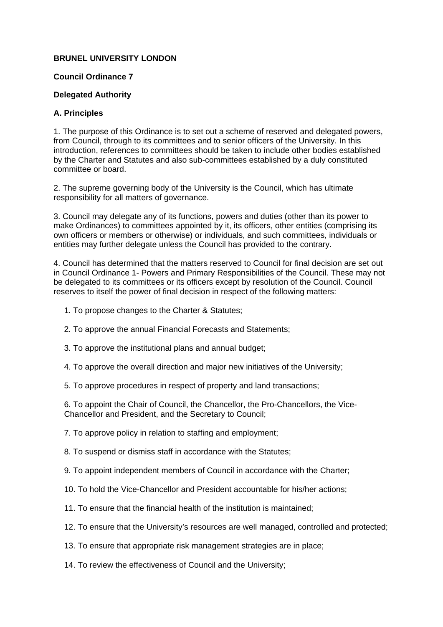## **BRUNEL UNIVERSITY LONDON**

### **Council Ordinance 7**

## **Delegated Authority**

## **A. Principles**

1. The purpose of this Ordinance is to set out a scheme of reserved and delegated powers, from Council, through to its committees and to senior officers of the University. In this introduction, references to committees should be taken to include other bodies established by the Charter and Statutes and also sub-committees established by a duly constituted committee or board.

2. The supreme governing body of the University is the Council, which has ultimate responsibility for all matters of governance.

3. Council may delegate any of its functions, powers and duties (other than its power to make Ordinances) to committees appointed by it, its officers, other entities (comprising its own officers or members or otherwise) or individuals, and such committees, individuals or entities may further delegate unless the Council has provided to the contrary.

4. Council has determined that the matters reserved to Council for final decision are set out in Council Ordinance 1- Powers and Primary Responsibilities of the Council. These may not be delegated to its committees or its officers except by resolution of the Council. Council reserves to itself the power of final decision in respect of the following matters:

- 1. To propose changes to the Charter & Statutes;
- 2. To approve the annual Financial Forecasts and Statements;
- 3. To approve the institutional plans and annual budget;
- 4. To approve the overall direction and major new initiatives of the University;
- 5. To approve procedures in respect of property and land transactions;

6. To appoint the Chair of Council, the Chancellor, the Pro-Chancellors, the Vice-Chancellor and President, and the Secretary to Council;

7. To approve policy in relation to staffing and employment;

8. To suspend or dismiss staff in accordance with the Statutes;

- 9. To appoint independent members of Council in accordance with the Charter;
- 10. To hold the Vice-Chancellor and President accountable for his/her actions;
- 11. To ensure that the financial health of the institution is maintained;
- 12. To ensure that the University's resources are well managed, controlled and protected;
- 13. To ensure that appropriate risk management strategies are in place;
- 14. To review the effectiveness of Council and the University;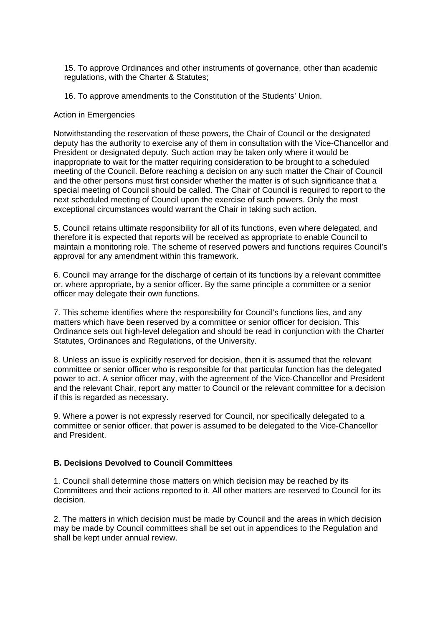15. To approve Ordinances and other instruments of governance, other than academic regulations, with the Charter & Statutes;

16. To approve amendments to the Constitution of the Students' Union.

#### Action in Emergencies

Notwithstanding the reservation of these powers, the Chair of Council or the designated deputy has the authority to exercise any of them in consultation with the Vice-Chancellor and President or designated deputy. Such action may be taken only where it would be inappropriate to wait for the matter requiring consideration to be brought to a scheduled meeting of the Council. Before reaching a decision on any such matter the Chair of Council and the other persons must first consider whether the matter is of such significance that a special meeting of Council should be called. The Chair of Council is required to report to the next scheduled meeting of Council upon the exercise of such powers. Only the most exceptional circumstances would warrant the Chair in taking such action.

5. Council retains ultimate responsibility for all of its functions, even where delegated, and therefore it is expected that reports will be received as appropriate to enable Council to maintain a monitoring role. The scheme of reserved powers and functions requires Council's approval for any amendment within this framework.

6. Council may arrange for the discharge of certain of its functions by a relevant committee or, where appropriate, by a senior officer. By the same principle a committee or a senior officer may delegate their own functions.

7. This scheme identifies where the responsibility for Council's functions lies, and any matters which have been reserved by a committee or senior officer for decision. This Ordinance sets out high-level delegation and should be read in conjunction with the Charter Statutes, Ordinances and Regulations, of the University.

8. Unless an issue is explicitly reserved for decision, then it is assumed that the relevant committee or senior officer who is responsible for that particular function has the delegated power to act. A senior officer may, with the agreement of the Vice-Chancellor and President and the relevant Chair, report any matter to Council or the relevant committee for a decision if this is regarded as necessary.

9. Where a power is not expressly reserved for Council, nor specifically delegated to a committee or senior officer, that power is assumed to be delegated to the Vice-Chancellor and President.

## **B. Decisions Devolved to Council Committees**

1. Council shall determine those matters on which decision may be reached by its Committees and their actions reported to it. All other matters are reserved to Council for its decision.

2. The matters in which decision must be made by Council and the areas in which decision may be made by Council committees shall be set out in appendices to the Regulation and shall be kept under annual review.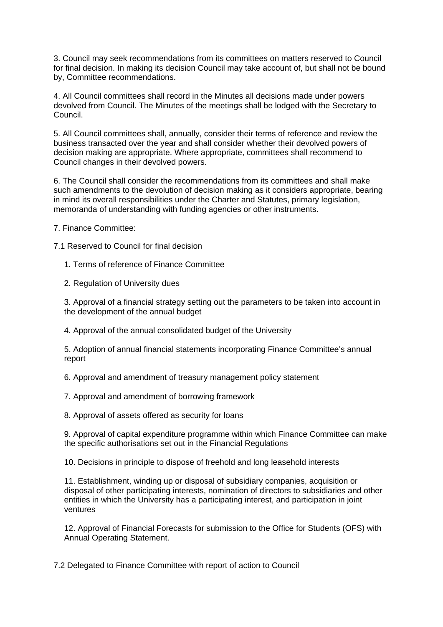3. Council may seek recommendations from its committees on matters reserved to Council for final decision. In making its decision Council may take account of, but shall not be bound by, Committee recommendations.

4. All Council committees shall record in the Minutes all decisions made under powers devolved from Council. The Minutes of the meetings shall be lodged with the Secretary to Council.

5. All Council committees shall, annually, consider their terms of reference and review the business transacted over the year and shall consider whether their devolved powers of decision making are appropriate. Where appropriate, committees shall recommend to Council changes in their devolved powers.

6. The Council shall consider the recommendations from its committees and shall make such amendments to the devolution of decision making as it considers appropriate, bearing in mind its overall responsibilities under the Charter and Statutes, primary legislation, memoranda of understanding with funding agencies or other instruments.

7. Finance Committee:

7.1 Reserved to Council for final decision

- 1. Terms of reference of Finance Committee
- 2. Regulation of University dues

3. Approval of a financial strategy setting out the parameters to be taken into account in the development of the annual budget

4. Approval of the annual consolidated budget of the University

5. Adoption of annual financial statements incorporating Finance Committee's annual report

6. Approval and amendment of treasury management policy statement

7. Approval and amendment of borrowing framework

8. Approval of assets offered as security for loans

9. Approval of capital expenditure programme within which Finance Committee can make the specific authorisations set out in the Financial Regulations

10. Decisions in principle to dispose of freehold and long leasehold interests

11. Establishment, winding up or disposal of subsidiary companies, acquisition or disposal of other participating interests, nomination of directors to subsidiaries and other entities in which the University has a participating interest, and participation in joint ventures

12. Approval of Financial Forecasts for submission to the Office for Students (OFS) with Annual Operating Statement.

7.2 Delegated to Finance Committee with report of action to Council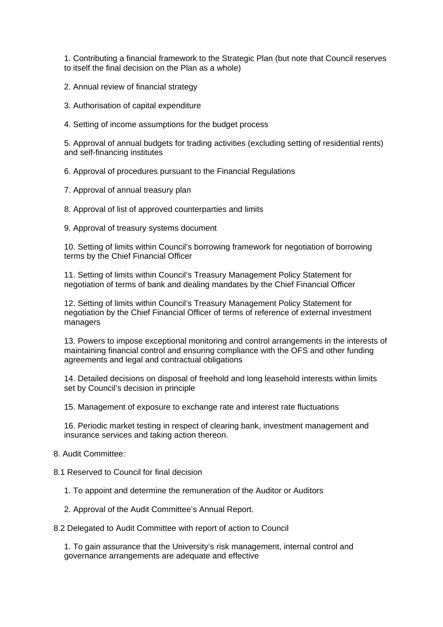1. Contributing a financial framework to the Strategic Plan (but note that Council reserves to itself the final decision on the Plan as a whole)

2. Annual review of financial strategy

3. Authorisation of capital expenditure

4. Setting of income assumptions for the budget process

5. Approval of annual budgets for trading activities (excluding setting of residential rents) and self-financing institutes

6. Approval of procedures pursuant to the Financial Regulations

7. Approval of annual treasury plan

8. Approval of list of approved counterparties and limits

9. Approval of treasury systems document

10. Setting of limits within Council's borrowing framework for negotiation of borrowing terms by the Chief Financial Officer

11. Setting of limits within Council's Treasury Management Policy Statement for negotiation of terms of bank and dealing mandates by the Chief Financial Officer

12. Setting of limits within Council's Treasury Management Policy Statement for negotiation by the Chief Financial Officer of terms of reference of external investment managers

13. Powers to impose exceptional monitoring and control arrangements in the interests of maintaining financial control and ensuring compliance with the OFS and other funding agreements and legal and contractual obligations

14. Detailed decisions on disposal of freehold and long leasehold interests within limits set by Council's decision in principle

15. Management of exposure to exchange rate and interest rate fluctuations

16. Periodic market testing in respect of clearing bank, investment management and insurance services and taking action thereon.

8. Audit Committee:

8.1 Reserved to Council for final decision

1. To appoint and determine the remuneration of the Auditor or Auditors

2. Approval of the Audit Committee's Annual Report.

8.2 Delegated to Audit Committee with report of action to Council

1. To gain assurance that the University's risk management, internal control and governance arrangements are adequate and effective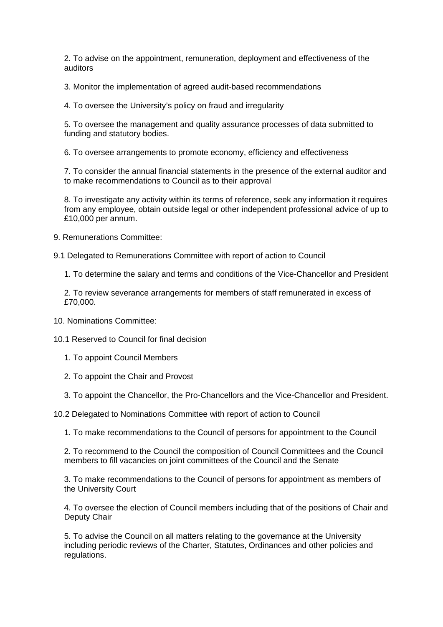2. To advise on the appointment, remuneration, deployment and effectiveness of the auditors

3. Monitor the implementation of agreed audit-based recommendations

4. To oversee the University's policy on fraud and irregularity

5. To oversee the management and quality assurance processes of data submitted to funding and statutory bodies.

6. To oversee arrangements to promote economy, efficiency and effectiveness

7. To consider the annual financial statements in the presence of the external auditor and to make recommendations to Council as to their approval

8. To investigate any activity within its terms of reference, seek any information it requires from any employee, obtain outside legal or other independent professional advice of up to £10,000 per annum.

9. Remunerations Committee:

9.1 Delegated to Remunerations Committee with report of action to Council

1. To determine the salary and terms and conditions of the Vice-Chancellor and President

2. To review severance arrangements for members of staff remunerated in excess of £70,000.

10. Nominations Committee:

10.1 Reserved to Council for final decision

- 1. To appoint Council Members
- 2. To appoint the Chair and Provost
- 3. To appoint the Chancellor, the Pro-Chancellors and the Vice-Chancellor and President.

10.2 Delegated to Nominations Committee with report of action to Council

1. To make recommendations to the Council of persons for appointment to the Council

2. To recommend to the Council the composition of Council Committees and the Council members to fill vacancies on joint committees of the Council and the Senate

3. To make recommendations to the Council of persons for appointment as members of the University Court

4. To oversee the election of Council members including that of the positions of Chair and Deputy Chair

5. To advise the Council on all matters relating to the governance at the University including periodic reviews of the Charter, Statutes, Ordinances and other policies and regulations.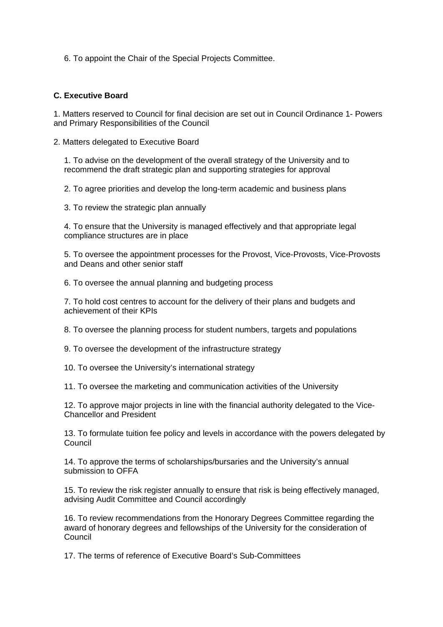6. To appoint the Chair of the Special Projects Committee.

## **C. Executive Board**

1. Matters reserved to Council for final decision are set out in Council Ordinance 1- Powers and Primary Responsibilities of the Council

2. Matters delegated to Executive Board

1. To advise on the development of the overall strategy of the University and to recommend the draft strategic plan and supporting strategies for approval

2. To agree priorities and develop the long-term academic and business plans

3. To review the strategic plan annually

4. To ensure that the University is managed effectively and that appropriate legal compliance structures are in place

5. To oversee the appointment processes for the Provost, Vice-Provosts, Vice-Provosts and Deans and other senior staff

6. To oversee the annual planning and budgeting process

7. To hold cost centres to account for the delivery of their plans and budgets and achievement of their KPIs

8. To oversee the planning process for student numbers, targets and populations

9. To oversee the development of the infrastructure strategy

10. To oversee the University's international strategy

11. To oversee the marketing and communication activities of the University

12. To approve major projects in line with the financial authority delegated to the Vice-Chancellor and President

13. To formulate tuition fee policy and levels in accordance with the powers delegated by **Council** 

14. To approve the terms of scholarships/bursaries and the University's annual submission to OFFA

15. To review the risk register annually to ensure that risk is being effectively managed, advising Audit Committee and Council accordingly

16. To review recommendations from the Honorary Degrees Committee regarding the award of honorary degrees and fellowships of the University for the consideration of Council

17. The terms of reference of Executive Board's Sub-Committees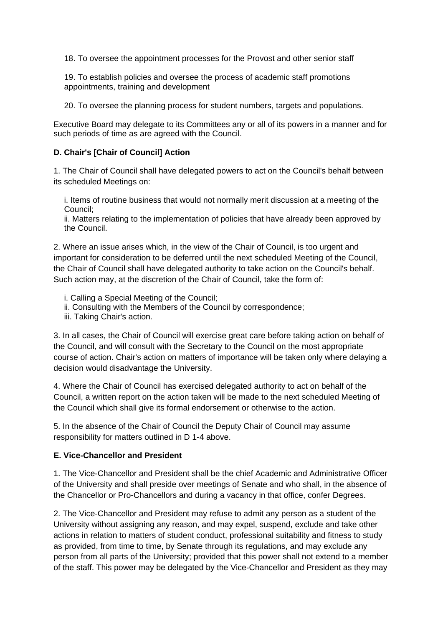18. To oversee the appointment processes for the Provost and other senior staff

19. To establish policies and oversee the process of academic staff promotions appointments, training and development

20. To oversee the planning process for student numbers, targets and populations.

Executive Board may delegate to its Committees any or all of its powers in a manner and for such periods of time as are agreed with the Council.

## **D. Chair's [Chair of Council] Action**

1. The Chair of Council shall have delegated powers to act on the Council's behalf between its scheduled Meetings on:

i. Items of routine business that would not normally merit discussion at a meeting of the Council;

ii. Matters relating to the implementation of policies that have already been approved by the Council.

2. Where an issue arises which, in the view of the Chair of Council, is too urgent and important for consideration to be deferred until the next scheduled Meeting of the Council, the Chair of Council shall have delegated authority to take action on the Council's behalf. Such action may, at the discretion of the Chair of Council, take the form of:

i. Calling a Special Meeting of the Council;

- ii. Consulting with the Members of the Council by correspondence;
- iii. Taking Chair's action.

3. In all cases, the Chair of Council will exercise great care before taking action on behalf of the Council, and will consult with the Secretary to the Council on the most appropriate course of action. Chair's action on matters of importance will be taken only where delaying a decision would disadvantage the University.

4. Where the Chair of Council has exercised delegated authority to act on behalf of the Council, a written report on the action taken will be made to the next scheduled Meeting of the Council which shall give its formal endorsement or otherwise to the action.

5. In the absence of the Chair of Council the Deputy Chair of Council may assume responsibility for matters outlined in D 1-4 above.

## **E. Vice-Chancellor and President**

1. The Vice-Chancellor and President shall be the chief Academic and Administrative Officer of the University and shall preside over meetings of Senate and who shall, in the absence of the Chancellor or Pro-Chancellors and during a vacancy in that office, confer Degrees.

2. The Vice-Chancellor and President may refuse to admit any person as a student of the University without assigning any reason, and may expel, suspend, exclude and take other actions in relation to matters of student conduct, professional suitability and fitness to study as provided, from time to time, by Senate through its regulations, and may exclude any person from all parts of the University; provided that this power shall not extend to a member of the staff. This power may be delegated by the Vice-Chancellor and President as they may